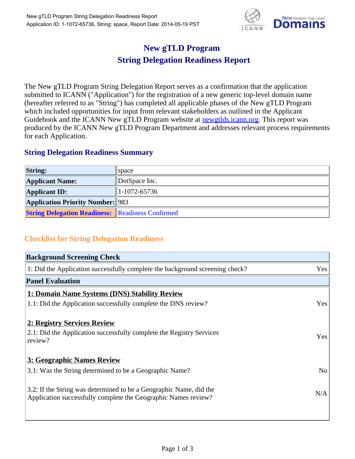

## **New gTLD Program String Delegation Readiness Report**

The New gTLD Program String Delegation Report serves as a confirmation that the application submitted to ICANN ("Application") for the registration of a new generic top-level domain name (hereafter referred to as "String") has completed all applicable phases of the New gTLD Program which included opportunities for input from relevant stakeholders as outlined in the Applicant Guidebook and the ICANN New gTLD Program website at newgtlds.icann.org. This report was produced by the ICANN New gTLD Program Department and addresses relevant process requirements for each Application.

## **String Delegation Readiness Summary**

| <b>String:</b>                                          | $\Box$ space  |
|---------------------------------------------------------|---------------|
| <b>Applicant Name:</b>                                  | DotSpace Inc. |
| <b>Applicant ID:</b>                                    | 1-1072-65736  |
| <b>Application Priority Number: 983</b>                 |               |
| <b>String Delegation Readiness:</b> Readiness Confirmed |               |

## **Checklist for String Delegation Readiness**

| <b>Background Screening Check</b>                                            |                |
|------------------------------------------------------------------------------|----------------|
| 1: Did the Application successfully complete the background screening check? | Yes            |
| <b>Panel Evaluation</b>                                                      |                |
| 1: Domain Name Systems (DNS) Stability Review                                |                |
| 1.1: Did the Application successfully complete the DNS review?               | Yes            |
| 2: Registry Services Review                                                  |                |
| 2.1: Did the Application successfully complete the Registry Services         | Yes            |
| review?                                                                      |                |
| <b>3: Geographic Names Review</b>                                            |                |
| 3.1: Was the String determined to be a Geographic Name?                      | N <sub>o</sub> |
| 3.2: If the String was determined to be a Geographic Name, did the           |                |
| Application successfully complete the Geographic Names review?               | N/A            |
|                                                                              |                |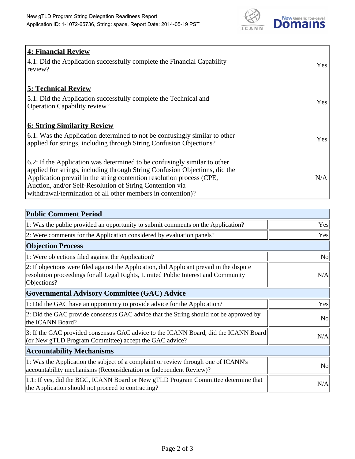

| <b>4: Financial Review</b><br>$\vert$ 4.1: Did the Application successfully complete the Financial Capability<br>review?                                                                                                                                                                                                                                     | <b>Yes</b> |
|--------------------------------------------------------------------------------------------------------------------------------------------------------------------------------------------------------------------------------------------------------------------------------------------------------------------------------------------------------------|------------|
| <b>5: Technical Review</b><br>5.1: Did the Application successfully complete the Technical and<br><b>Operation Capability review?</b>                                                                                                                                                                                                                        | <b>Yes</b> |
| <b>6: String Similarity Review</b><br>$\vert$ 6.1: Was the Application determined to not be confusingly similar to other<br>applied for strings, including through String Confusion Objections?                                                                                                                                                              | Yes        |
| 6.2: If the Application was determined to be confusingly similar to other<br>applied for strings, including through String Confusion Objections, did the<br>Application prevail in the string contention resolution process (CPE,<br>Auction, and/or Self-Resolution of String Contention via<br>withdrawal/termination of all other members in contention)? | N/A        |

| <b>Public Comment Period</b>                                                                                                                                                                   |                |
|------------------------------------------------------------------------------------------------------------------------------------------------------------------------------------------------|----------------|
| 1: Was the public provided an opportunity to submit comments on the Application?                                                                                                               | Yes            |
| 2: Were comments for the Application considered by evaluation panels?                                                                                                                          | Yes            |
| <b>Objection Process</b>                                                                                                                                                                       |                |
| 1: Were objections filed against the Application?                                                                                                                                              | N <sub>0</sub> |
| 2: If objections were filed against the Application, did Applicant prevail in the dispute<br>resolution proceedings for all Legal Rights, Limited Public Interest and Community<br>Objections? | N/A            |
| <b>Governmental Advisory Committee (GAC) Advice</b>                                                                                                                                            |                |
| 1: Did the GAC have an opportunity to provide advice for the Application?                                                                                                                      | Yes            |
| 2: Did the GAC provide consensus GAC advice that the String should not be approved by<br>the ICANN Board?                                                                                      | N <sub>o</sub> |
| 3: If the GAC provided consensus GAC advice to the ICANN Board, did the ICANN Board<br>(or New gTLD Program Committee) accept the GAC advice?                                                  | N/A            |
| <b>Accountability Mechanisms</b>                                                                                                                                                               |                |
| 1: Was the Application the subject of a complaint or review through one of ICANN's<br>accountability mechanisms (Reconsideration or Independent Review)?                                       | <b>No</b>      |
| 1.1: If yes, did the BGC, ICANN Board or New gTLD Program Committee determine that<br>the Application should not proceed to contracting?                                                       | N/A            |